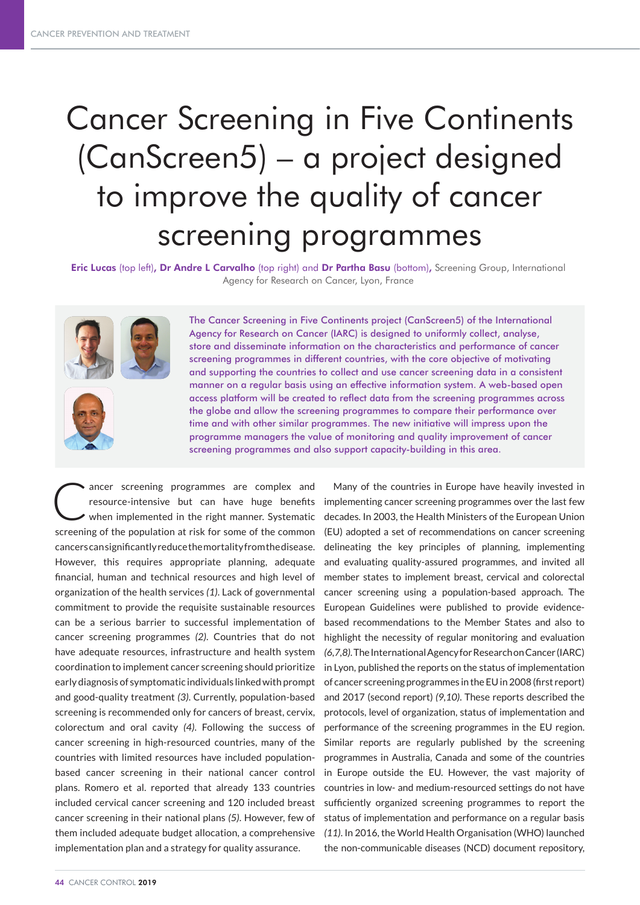# Cancer Screening in Five Continents (CanScreen5) – a project designed to improve the quality of cancer screening programmes

Eric Lucas (top left), Dr Andre L Carvalho (top right) and Dr Partha Basu (bottom), Screening Group, International Agency for Research on Cancer, Lyon, France





The Cancer Screening in Five Continents project (CanScreen5) of the International Agency for Research on Cancer (IARC) is designed to uniformly collect, analyse, store and disseminate information on the characteristics and performance of cancer screening programmes in different countries, with the core objective of motivating and supporting the countries to collect and use cancer screening data in a consistent manner on a regular basis using an effective information system. A web-based open access platform will be created to reflect data from the screening programmes across the globe and allow the screening programmes to compare their performance over time and with other similar programmes. The new initiative will impress upon the programme managers the value of monitoring and quality improvement of cancer screening programmes and also support capacity-building in this area.

ancer screening programmes are complex and resource-intensive but can have huge benefits when implemented in the right manner. Systematic screening of the population at risk for some of the common cancers can significantly reduce the mortality from the disease. However, this requires appropriate planning, adequate financial, human and technical resources and high level of organization of the health services *(1)*. Lack of governmental commitment to provide the requisite sustainable resources can be a serious barrier to successful implementation of cancer screening programmes *(2)*. Countries that do not have adequate resources, infrastructure and health system coordination to implement cancer screening should prioritize early diagnosis of symptomatic individuals linked with prompt and good-quality treatment *(3)*. Currently, population-based screening is recommended only for cancers of breast, cervix, colorectum and oral cavity *(4)*. Following the success of cancer screening in high-resourced countries, many of the countries with limited resources have included populationbased cancer screening in their national cancer control plans. Romero et al. reported that already 133 countries included cervical cancer screening and 120 included breast cancer screening in their national plans *(5)*. However, few of them included adequate budget allocation, a comprehensive implementation plan and a strategy for quality assurance.

implementing cancer screening programmes over the last few decades. In 2003, the Health Ministers of the European Union (EU) adopted a set of recommendations on cancer screening delineating the key principles of planning, implementing and evaluating quality-assured programmes, and invited all member states to implement breast, cervical and colorectal cancer screening using a population-based approach. The European Guidelines were published to provide evidencebased recommendations to the Member States and also to highlight the necessity of regular monitoring and evaluation *(6,7,8)*. The International Agency for Research on Cancer (IARC) in Lyon, published the reports on the status of implementation of cancer screening programmes in the EU in 2008 (first report) and 2017 (second report) *(9,10)*. These reports described the protocols, level of organization, status of implementation and performance of the screening programmes in the EU region. Similar reports are regularly published by the screening programmes in Australia, Canada and some of the countries in Europe outside the EU. However, the vast majority of countries in low- and medium-resourced settings do not have sufficiently organized screening programmes to report the status of implementation and performance on a regular basis *(11)*. In 2016, the World Health Organisation (WHO) launched the non-communicable diseases (NCD) document repository,

Many of the countries in Europe have heavily invested in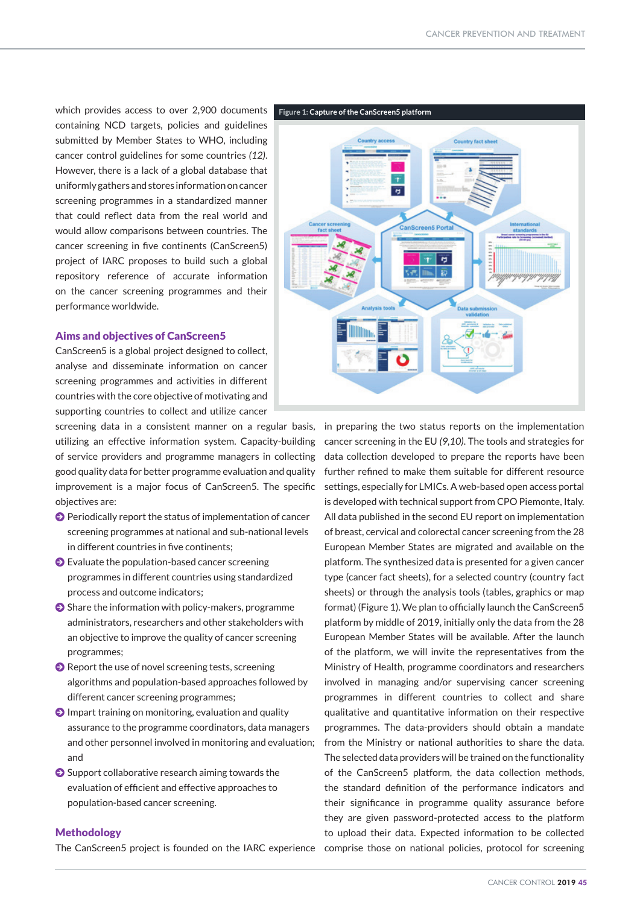which provides access to over 2,900 documents containing NCD targets, policies and guidelines submitted by Member States to WHO, including cancer control guidelines for some countries *(12)*. However, there is a lack of a global database that uniformly gathers and stores information on cancer screening programmes in a standardized manner that could reflect data from the real world and would allow comparisons between countries. The cancer screening in five continents (CanScreen5) project of IARC proposes to build such a global repository reference of accurate information on the cancer screening programmes and their performance worldwide.

#### Aims and objectives of CanScreen5

CanScreen5 is a global project designed to collect, analyse and disseminate information on cancer screening programmes and activities in different countries with the core objective of motivating and supporting countries to collect and utilize cancer

screening data in a consistent manner on a regular basis, utilizing an effective information system. Capacity-building of service providers and programme managers in collecting good quality data for better programme evaluation and quality improvement is a major focus of CanScreen5. The specific objectives are:

- $\Theta$  Periodically report the status of implementation of cancer screening programmes at national and sub-national levels in different countries in five continents;
- $\bullet$  Evaluate the population-based cancer screening programmes in different countries using standardized process and outcome indicators;
- $\bullet$  Share the information with policy-makers, programme administrators, researchers and other stakeholders with an objective to improve the quality of cancer screening programmes;
- $\bullet$  Report the use of novel screening tests, screening algorithms and population-based approaches followed by different cancer screening programmes;
- $\odot$  Impart training on monitoring, evaluation and quality assurance to the programme coordinators, data managers and other personnel involved in monitoring and evaluation; and
- $\bullet$  Support collaborative research aiming towards the evaluation of efficient and effective approaches to population-based cancer screening.

### **Methodology**

The CanScreen5 project is founded on the IARC experience



in preparing the two status reports on the implementation cancer screening in the EU *(9,10)*. The tools and strategies for data collection developed to prepare the reports have been further refined to make them suitable for different resource settings, especially for LMICs. A web-based open access portal is developed with technical support from CPO Piemonte, Italy. All data published in the second EU report on implementation of breast, cervical and colorectal cancer screening from the 28 European Member States are migrated and available on the platform. The synthesized data is presented for a given cancer type (cancer fact sheets), for a selected country (country fact sheets) or through the analysis tools (tables, graphics or map format) (Figure 1). We plan to officially launch the CanScreen5 platform by middle of 2019, initially only the data from the 28 European Member States will be available. After the launch of the platform, we will invite the representatives from the Ministry of Health, programme coordinators and researchers involved in managing and/or supervising cancer screening programmes in different countries to collect and share qualitative and quantitative information on their respective programmes. The data-providers should obtain a mandate from the Ministry or national authorities to share the data. The selected data providers will be trained on the functionality of the CanScreen5 platform, the data collection methods, the standard definition of the performance indicators and their significance in programme quality assurance before they are given password-protected access to the platform to upload their data. Expected information to be collected comprise those on national policies, protocol for screening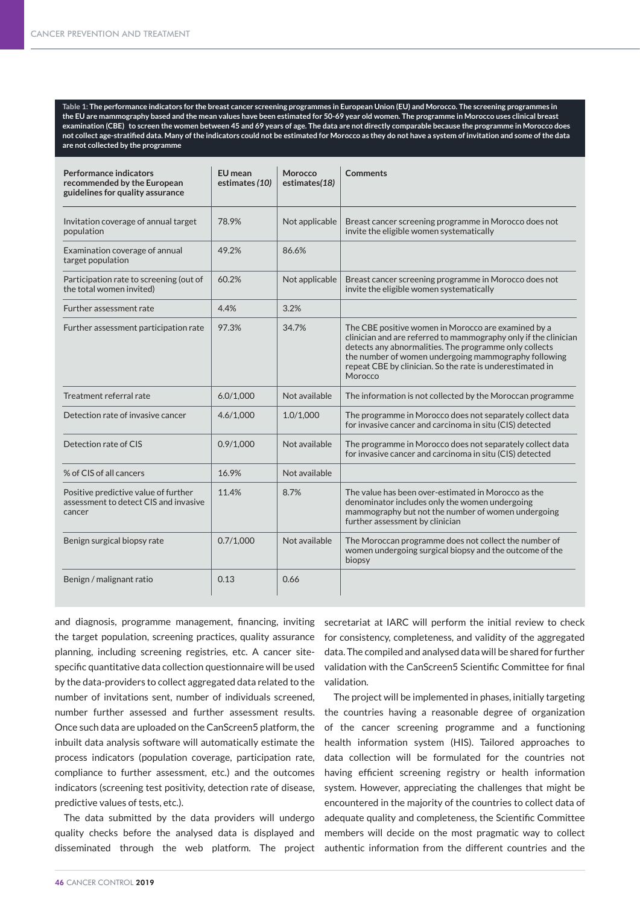**Table 1: The performance indicators for the breast cancer screening programmes in European Union (EU) and Morocco. The screening programmes in the EU are mammography based and the mean values have been estimated for 50-69 year old women. The programme in Morocco uses clinical breast examination (CBE) to screen the women between 45 and 69 years of age. The data are not directly comparable because the programme in Morocco does not collect age-stratified data. Many of the indicators could not be estimated for Morocco as they do not have a system of invitation and some of the data are not collected by the programme**

| <b>Performance indicators</b><br>recommended by the European<br>guidelines for quality assurance | <b>EU</b> mean<br>estimates (10) | Morocco<br>estimates(18) | <b>Comments</b>                                                                                                                                                                                                                                                                                                  |
|--------------------------------------------------------------------------------------------------|----------------------------------|--------------------------|------------------------------------------------------------------------------------------------------------------------------------------------------------------------------------------------------------------------------------------------------------------------------------------------------------------|
| Invitation coverage of annual target<br>population                                               | 78.9%                            | Not applicable           | Breast cancer screening programme in Morocco does not<br>invite the eligible women systematically                                                                                                                                                                                                                |
| Examination coverage of annual<br>target population                                              | 49.2%                            | 86.6%                    |                                                                                                                                                                                                                                                                                                                  |
| Participation rate to screening (out of<br>the total women invited)                              | 60.2%                            | Not applicable           | Breast cancer screening programme in Morocco does not<br>invite the eligible women systematically                                                                                                                                                                                                                |
| Further assessment rate                                                                          | 4.4%                             | 3.2%                     |                                                                                                                                                                                                                                                                                                                  |
| Further assessment participation rate                                                            | 97.3%                            | 34.7%                    | The CBE positive women in Morocco are examined by a<br>clinician and are referred to mammography only if the clinician<br>detects any abnormalities. The programme only collects<br>the number of women undergoing mammography following<br>repeat CBE by clinician. So the rate is underestimated in<br>Morocco |
| Treatment referral rate                                                                          | 6.0/1,000                        | Not available            | The information is not collected by the Moroccan programme                                                                                                                                                                                                                                                       |
| Detection rate of invasive cancer                                                                | 4.6/1,000                        | 1.0/1,000                | The programme in Morocco does not separately collect data<br>for invasive cancer and carcinoma in situ (CIS) detected                                                                                                                                                                                            |
| Detection rate of CIS                                                                            | 0.9/1.000                        | Not available            | The programme in Morocco does not separately collect data<br>for invasive cancer and carcinoma in situ (CIS) detected                                                                                                                                                                                            |
| % of CIS of all cancers                                                                          | 16.9%                            | Not available            |                                                                                                                                                                                                                                                                                                                  |
| Positive predictive value of further<br>assessment to detect CIS and invasive<br>cancer          | 11.4%                            | 8.7%                     | The value has been over-estimated in Morocco as the<br>denominator includes only the women undergoing<br>mammography but not the number of women undergoing<br>further assessment by clinician                                                                                                                   |
| Benign surgical biopsy rate                                                                      | 0.7/1,000                        | Not available            | The Moroccan programme does not collect the number of<br>women undergoing surgical biopsy and the outcome of the<br>biopsy                                                                                                                                                                                       |
| Benign / malignant ratio                                                                         | 0.13                             | 0.66                     |                                                                                                                                                                                                                                                                                                                  |

and diagnosis, programme management, financing, inviting the target population, screening practices, quality assurance planning, including screening registries, etc. A cancer sitespecific quantitative data collection questionnaire will be used by the data-providers to collect aggregated data related to the number of invitations sent, number of individuals screened, number further assessed and further assessment results. Once such data are uploaded on the CanScreen5 platform, the inbuilt data analysis software will automatically estimate the process indicators (population coverage, participation rate, compliance to further assessment, etc.) and the outcomes indicators (screening test positivity, detection rate of disease, predictive values of tests, etc.).

The data submitted by the data providers will undergo quality checks before the analysed data is displayed and disseminated through the web platform. The project

secretariat at IARC will perform the initial review to check for consistency, completeness, and validity of the aggregated data. The compiled and analysed data will be shared for further validation with the CanScreen5 Scientific Committee for final validation.

The project will be implemented in phases, initially targeting the countries having a reasonable degree of organization of the cancer screening programme and a functioning health information system (HIS). Tailored approaches to data collection will be formulated for the countries not having efficient screening registry or health information system. However, appreciating the challenges that might be encountered in the majority of the countries to collect data of adequate quality and completeness, the Scientific Committee members will decide on the most pragmatic way to collect authentic information from the different countries and the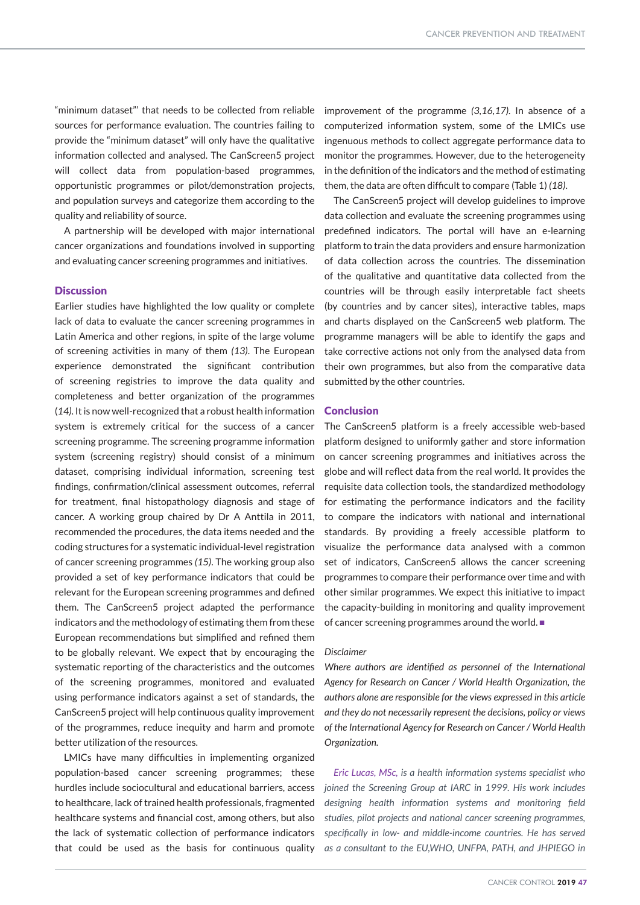"minimum dataset"' that needs to be collected from reliable sources for performance evaluation. The countries failing to provide the "minimum dataset" will only have the qualitative information collected and analysed. The CanScreen5 project will collect data from population-based programmes, opportunistic programmes or pilot/demonstration projects, and population surveys and categorize them according to the quality and reliability of source.

A partnership will be developed with major international cancer organizations and foundations involved in supporting and evaluating cancer screening programmes and initiatives.

#### **Discussion**

Earlier studies have highlighted the low quality or complete lack of data to evaluate the cancer screening programmes in Latin America and other regions, in spite of the large volume of screening activities in many of them *(13)*. The European experience demonstrated the significant contribution of screening registries to improve the data quality and completeness and better organization of the programmes (*14)*. It is now well-recognized that a robust health information system is extremely critical for the success of a cancer screening programme. The screening programme information system (screening registry) should consist of a minimum dataset, comprising individual information, screening test findings, confirmation/clinical assessment outcomes, referral for treatment, final histopathology diagnosis and stage of cancer. A working group chaired by Dr A Anttila in 2011, recommended the procedures, the data items needed and the coding structures for a systematic individual-level registration of cancer screening programmes *(15)*. The working group also provided a set of key performance indicators that could be relevant for the European screening programmes and defined them. The CanScreen5 project adapted the performance indicators and the methodology of estimating them from these European recommendations but simplified and refined them to be globally relevant. We expect that by encouraging the systematic reporting of the characteristics and the outcomes of the screening programmes, monitored and evaluated using performance indicators against a set of standards, the CanScreen5 project will help continuous quality improvement of the programmes, reduce inequity and harm and promote better utilization of the resources.

LMICs have many difficulties in implementing organized population-based cancer screening programmes; these hurdles include sociocultural and educational barriers, access to healthcare, lack of trained health professionals, fragmented healthcare systems and financial cost, among others, but also the lack of systematic collection of performance indicators that could be used as the basis for continuous quality

improvement of the programme *(3,16,17).* In absence of a computerized information system, some of the LMICs use ingenuous methods to collect aggregate performance data to monitor the programmes. However, due to the heterogeneity in the definition of the indicators and the method of estimating them, the data are often difficult to compare (Table 1) *(18)*.

The CanScreen5 project will develop guidelines to improve data collection and evaluate the screening programmes using predefined indicators. The portal will have an e-learning platform to train the data providers and ensure harmonization of data collection across the countries. The dissemination of the qualitative and quantitative data collected from the countries will be through easily interpretable fact sheets (by countries and by cancer sites), interactive tables, maps and charts displayed on the CanScreen5 web platform. The programme managers will be able to identify the gaps and take corrective actions not only from the analysed data from their own programmes, but also from the comparative data submitted by the other countries.

## Conclusion

The CanScreen5 platform is a freely accessible web-based platform designed to uniformly gather and store information on cancer screening programmes and initiatives across the globe and will reflect data from the real world. It provides the requisite data collection tools, the standardized methodology for estimating the performance indicators and the facility to compare the indicators with national and international standards. By providing a freely accessible platform to visualize the performance data analysed with a common set of indicators, CanScreen5 allows the cancer screening programmes to compare their performance over time and with other similar programmes. We expect this initiative to impact the capacity-building in monitoring and quality improvement of cancer screening programmes around the world.  $\blacksquare$ 

#### *Disclaimer*

*Where authors are identified as personnel of the International Agency for Research on Cancer / World Health Organization, the authors alone are responsible for the views expressed in this article and they do not necessarily represent the decisions, policy or views of the International Agency for Research on Cancer / World Health Organization.*

*Eric Lucas, MSc, is a health information systems specialist who joined the Screening Group at IARC in 1999. His work includes designing health information systems and monitoring field studies, pilot projects and national cancer screening programmes, specifically in low- and middle-income countries. He has served as a consultant to the EU,WHO, UNFPA, PATH, and JHPIEGO in*